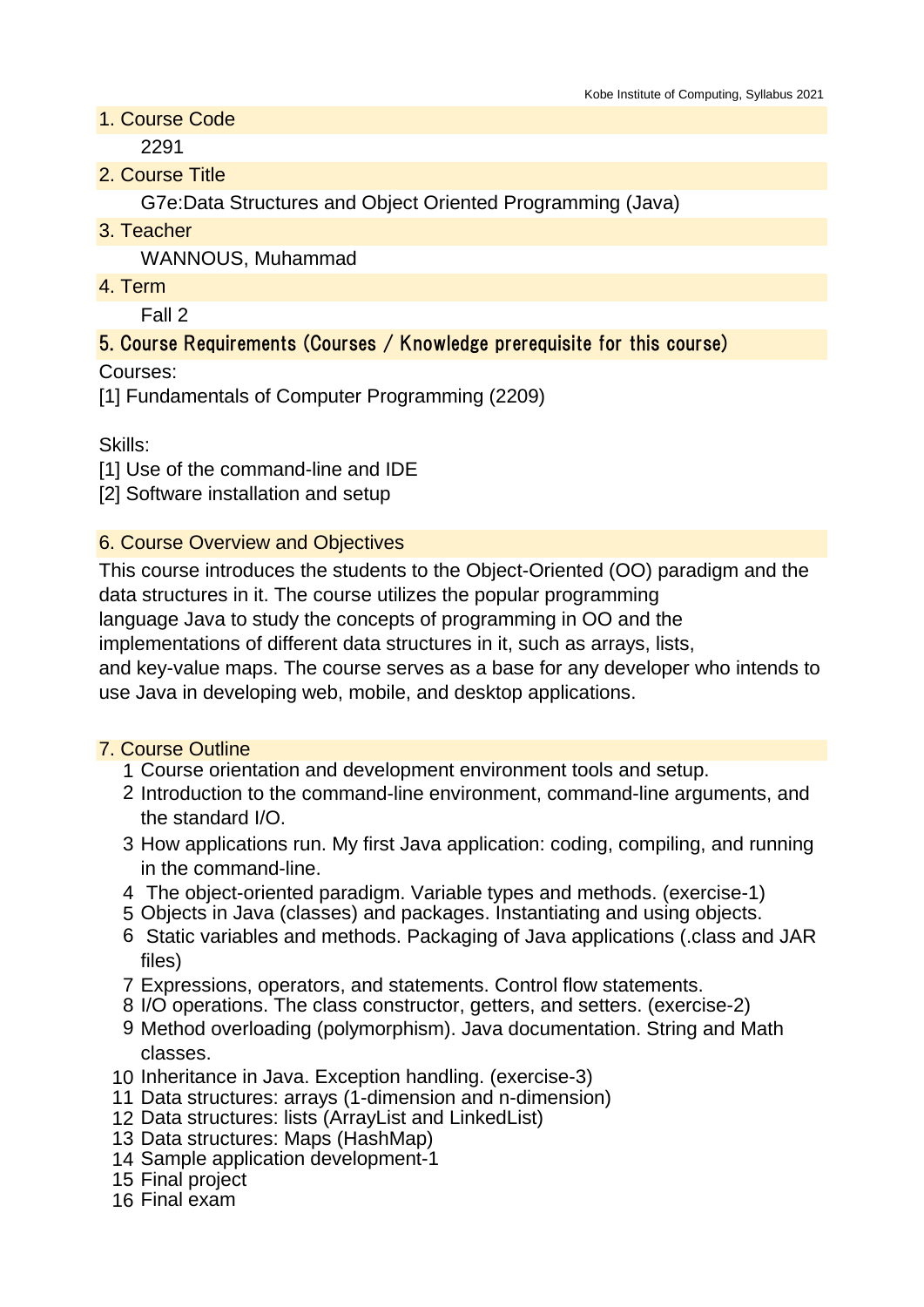1. Course Code

2291

2. Course Title

G7e:Data Structures and Object Oriented Programming (Java)

3. Teacher

WANNOUS, Muhammad

4. Term

Fall 2

## 5. Course Requirements (Courses / Knowledge prerequisite for this course)

Courses:

[1] Fundamentals of Computer Programming (2209)

Skills:

[1] Use of the command-line and IDE

[2] Software installation and setup

### 6. Course Overview and Objectives

This course introduces the students to the Object-Oriented (OO) paradigm and the data structures in it. The course utilizes the popular programming

language Java to study the concepts of programming in OO and the

implementations of different data structures in it, such as arrays, lists,

and key-value maps. The course serves as a base for any developer who intends to use Java in developing web, mobile, and desktop applications.

### 7. Course Outline

- 1 Course orientation and development environment tools and setup.
- 2 Introduction to the command-line environment, command-line arguments, and the standard I/O.
- 3 How applications run. My first Java application: coding, compiling, and running in the command-line.
- 4 The object-oriented paradigm. Variable types and methods. (exercise-1)
- 5 Objects in Java (classes) and packages. Instantiating and using objects.
- 6 Static variables and methods. Packaging of Java applications (.class and JAR files)
- 7 Expressions, operators, and statements. Control flow statements.
- 8 I/O operations. The class constructor, getters, and setters. (exercise-2)
- 9 Method overloading (polymorphism). Java documentation. String and Math classes.
- 10 Inheritance in Java. Exception handling. (exercise-3)
- 11 Data structures: arrays (1-dimension and n-dimension)
- 12 Data structures: lists (ArrayList and LinkedList)
- 13 Data structures: Maps (HashMap)
- 14 Sample application development-1
- 15 Final project
- 16 Final exam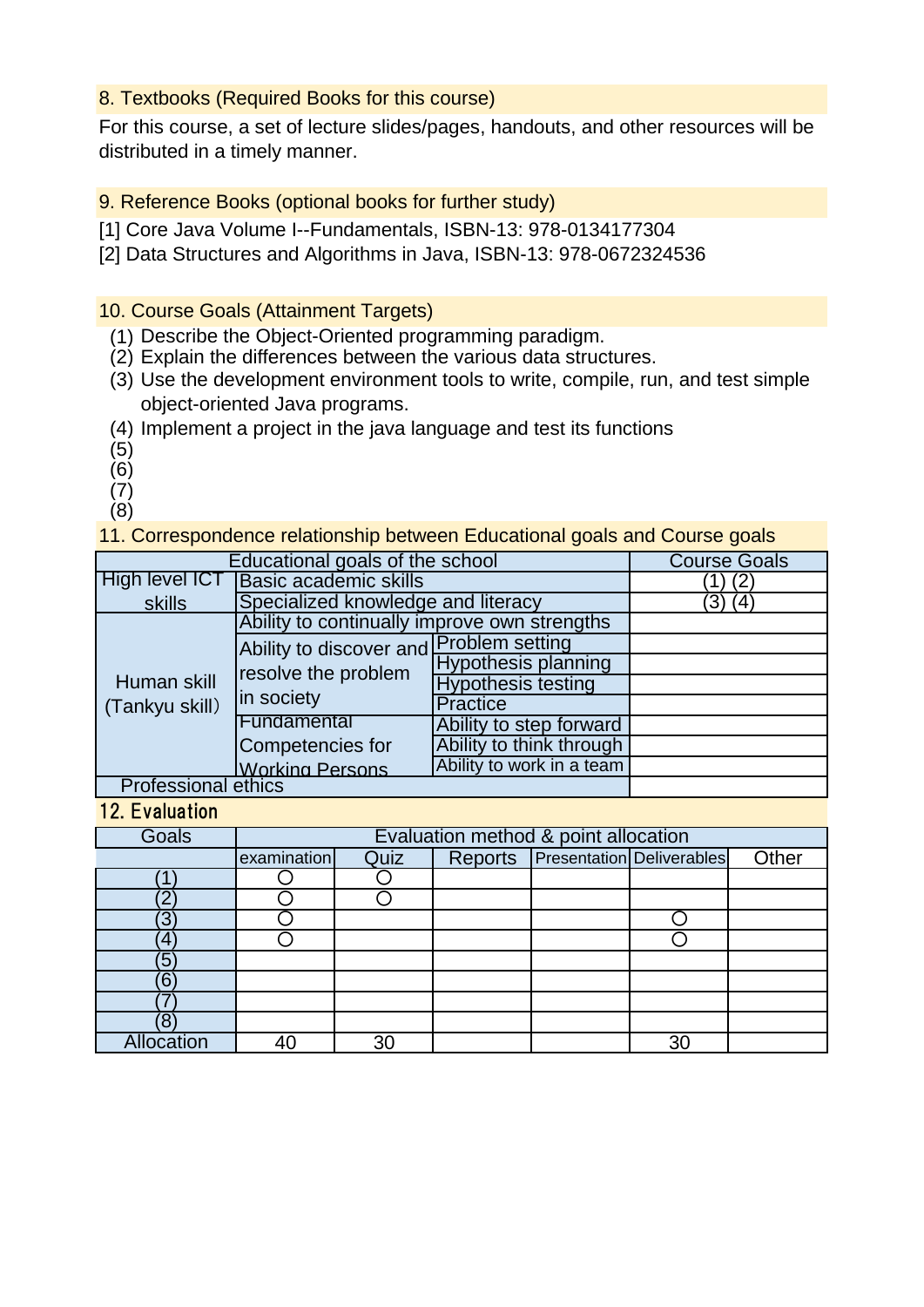## 8. Textbooks (Required Books for this course)

For this course, a set of lecture slides/pages, handouts, and other resources will be distributed in a timely manner.

9. Reference Books (optional books for further study)

- [1] Core Java Volume I--Fundamentals, ISBN-13: 978-0134177304
- [2] Data Structures and Algorithms in Java, ISBN-13: 978-0672324536

## 10. Course Goals (Attainment Targets)

- (1) Describe the Object-Oriented programming paradigm.
- (2) Explain the differences between the various data structures.
- (3) Use the development environment tools to write, compile, run, and test simple object-oriented Java programs.
- (4) Implement a project in the java language and test its functions
- (5)
- (6)
- (7)
- (8)

11. Correspondence relationship between Educational goals and Course goals

|                            | Educational goals of the school              |                            | <b>Course Goals</b> |
|----------------------------|----------------------------------------------|----------------------------|---------------------|
| <b>High level ICT</b>      | <b>Basic academic skills</b>                 |                            |                     |
| skills                     | Specialized knowledge and literacy           |                            | 3)<br>(4)           |
|                            | Ability to continually improve own strengths |                            |                     |
|                            | Ability to discover and Problem setting      |                            |                     |
|                            | resolve the problem                          | <b>Hypothesis planning</b> |                     |
| Human skill                |                                              | <b>Hypothesis testing</b>  |                     |
| (Tankyu skill)             | in society                                   | <b>Practice</b>            |                     |
|                            | Fundamental                                  | Ability to step forward    |                     |
|                            | Competencies for                             | Ability to think through   |                     |
|                            | <b>Working Persons</b>                       | Ability to work in a team  |                     |
| <b>Professional ethics</b> |                                              |                            |                     |

12. Evaluation

| <b>Goals</b>      |             |      |         | Evaluation method & point allocation |                                  |       |
|-------------------|-------------|------|---------|--------------------------------------|----------------------------------|-------|
|                   | examination | Quiz | Reports |                                      | <b>Presentation Deliverables</b> | Other |
|                   |             |      |         |                                      |                                  |       |
| r                 |             |      |         |                                      |                                  |       |
| З                 |             |      |         |                                      |                                  |       |
| 4                 |             |      |         |                                      |                                  |       |
| ΄5                |             |      |         |                                      |                                  |       |
| 6                 |             |      |         |                                      |                                  |       |
|                   |             |      |         |                                      |                                  |       |
|                   |             |      |         |                                      |                                  |       |
| <b>Allocation</b> |             | 30   |         |                                      | 3 <sub>C</sub>                   |       |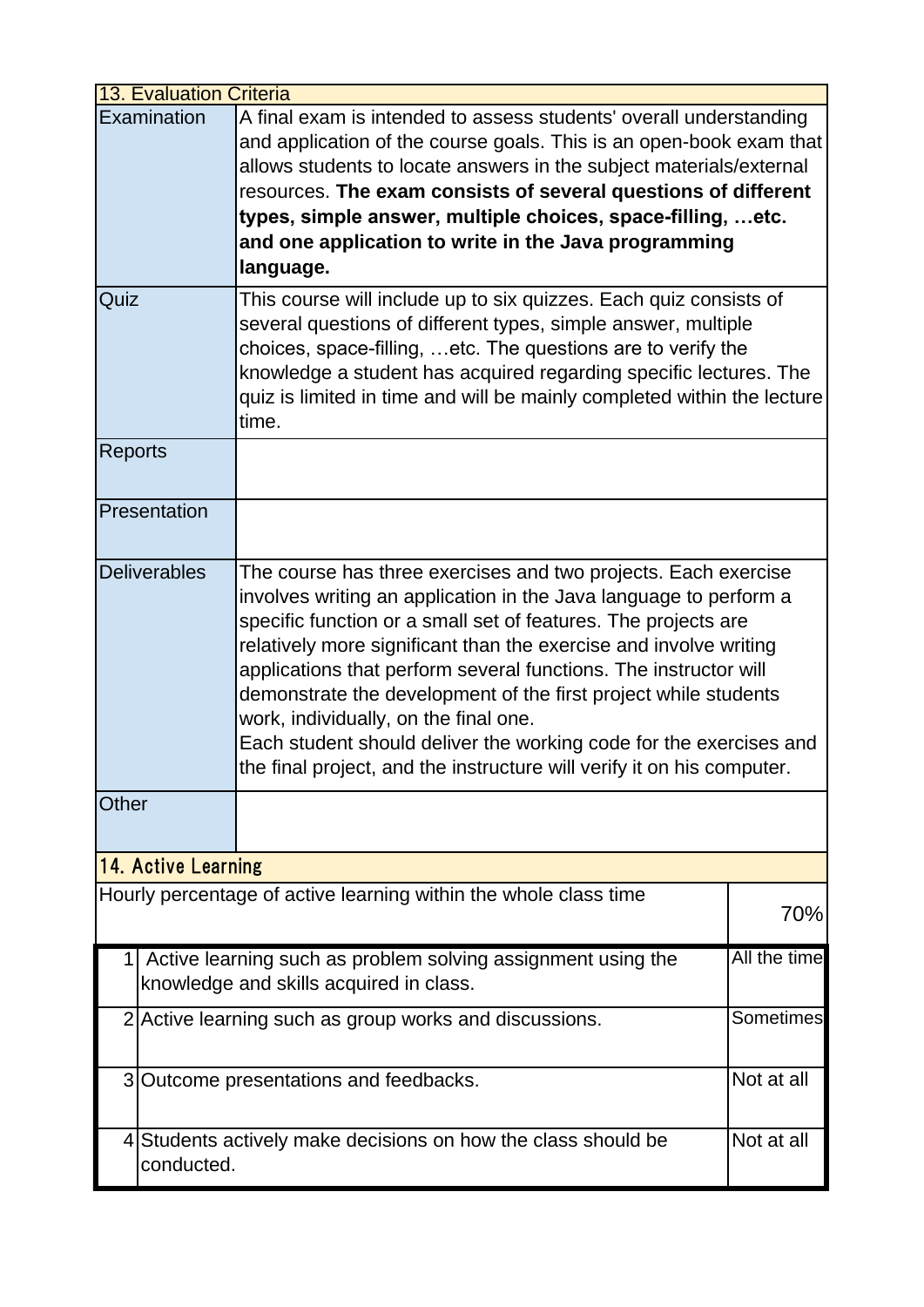|                | <b>13. Evaluation Criteria</b> |                                                                                                                                                                                                                                                                                                                                                                                                                                                                                                                                                                                                            |                  |
|----------------|--------------------------------|------------------------------------------------------------------------------------------------------------------------------------------------------------------------------------------------------------------------------------------------------------------------------------------------------------------------------------------------------------------------------------------------------------------------------------------------------------------------------------------------------------------------------------------------------------------------------------------------------------|------------------|
|                | Examination                    | A final exam is intended to assess students' overall understanding<br>and application of the course goals. This is an open-book exam that<br>allows students to locate answers in the subject materials/external<br>resources. The exam consists of several questions of different<br>types, simple answer, multiple choices, space-filling,  etc.<br>and one application to write in the Java programming<br>language.                                                                                                                                                                                    |                  |
| Quiz           |                                | This course will include up to six quizzes. Each quiz consists of<br>several questions of different types, simple answer, multiple<br>choices, space-filling,  etc. The questions are to verify the<br>knowledge a student has acquired regarding specific lectures. The<br>quiz is limited in time and will be mainly completed within the lecture<br>time.                                                                                                                                                                                                                                               |                  |
| <b>Reports</b> |                                |                                                                                                                                                                                                                                                                                                                                                                                                                                                                                                                                                                                                            |                  |
|                | Presentation                   |                                                                                                                                                                                                                                                                                                                                                                                                                                                                                                                                                                                                            |                  |
|                | <b>Deliverables</b>            | The course has three exercises and two projects. Each exercise<br>involves writing an application in the Java language to perform a<br>specific function or a small set of features. The projects are<br>relatively more significant than the exercise and involve writing<br>applications that perform several functions. The instructor will<br>demonstrate the development of the first project while students<br>work, individually, on the final one.<br>Each student should deliver the working code for the exercises and<br>the final project, and the instructure will verify it on his computer. |                  |
| Other          |                                |                                                                                                                                                                                                                                                                                                                                                                                                                                                                                                                                                                                                            |                  |
|                | 14. Active Learning            |                                                                                                                                                                                                                                                                                                                                                                                                                                                                                                                                                                                                            |                  |
|                |                                | Hourly percentage of active learning within the whole class time                                                                                                                                                                                                                                                                                                                                                                                                                                                                                                                                           | 70%              |
|                |                                | Active learning such as problem solving assignment using the<br>knowledge and skills acquired in class.                                                                                                                                                                                                                                                                                                                                                                                                                                                                                                    | All the time     |
|                |                                | 2 Active learning such as group works and discussions.                                                                                                                                                                                                                                                                                                                                                                                                                                                                                                                                                     | <b>Sometimes</b> |
|                |                                | 3 Outcome presentations and feedbacks.                                                                                                                                                                                                                                                                                                                                                                                                                                                                                                                                                                     | Not at all       |
|                | conducted.                     | 4 Students actively make decisions on how the class should be                                                                                                                                                                                                                                                                                                                                                                                                                                                                                                                                              | Not at all       |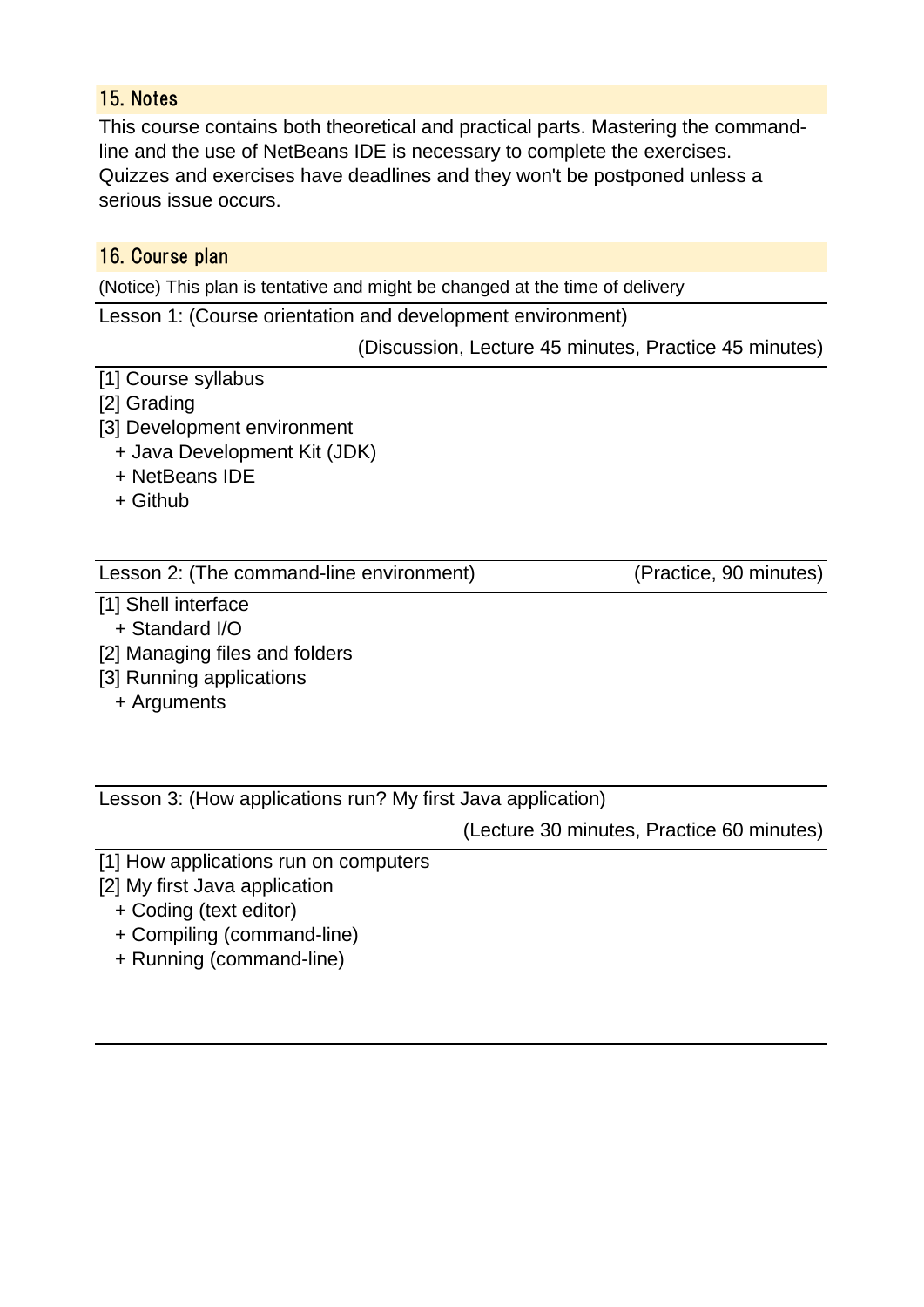# 15. Notes

This course contains both theoretical and practical parts. Mastering the commandline and the use of NetBeans IDE is necessary to complete the exercises. Quizzes and exercises have deadlines and they won't be postponed unless a serious issue occurs.

# 16. Course plan

(Notice) This plan is tentative and might be changed at the time of delivery

Lesson 1: (Course orientation and development environment)

(Discussion, Lecture 45 minutes, Practice 45 minutes)

- [1] Course syllabus
- [2] Grading
- [3] Development environment
	- + Java Development Kit (JDK)
	- + NetBeans IDE
	- + Github

### Lesson 2: (The command-line environment) (Practice, 90 minutes)

- [1] Shell interface
- + Standard I/O
- [2] Managing files and folders
- [3] Running applications
	- + Arguments

Lesson 3: (How applications run? My first Java application)

(Lecture 30 minutes, Practice 60 minutes)

- [1] How applications run on computers
- [2] My first Java application
	- + Coding (text editor)
	- + Compiling (command-line)
	- + Running (command-line)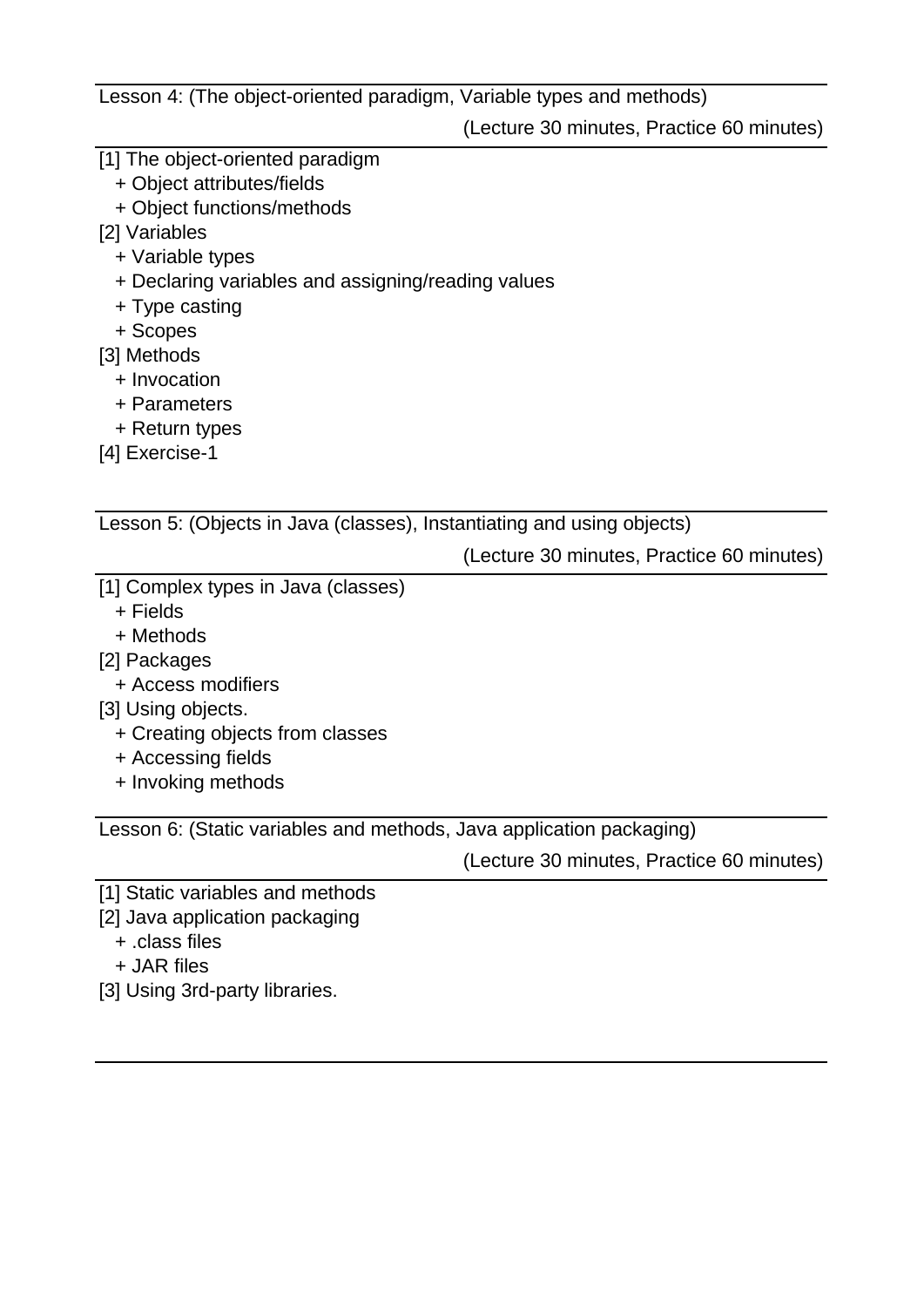Lesson 4: (The object-oriented paradigm, Variable types and methods)

(Lecture 30 minutes, Practice 60 minutes)

- [1] The object-oriented paradigm
	- + Object attributes/fields
	- + Object functions/methods
- [2] Variables
	- + Variable types
	- + Declaring variables and assigning/reading values
	- + Type casting
	- + Scopes
- [3] Methods
	- + Invocation
	- + Parameters
	- + Return types
- [4] Exercise-1

Lesson 5: (Objects in Java (classes), Instantiating and using objects)

(Lecture 30 minutes, Practice 60 minutes)

- [1] Complex types in Java (classes)
	- + Fields
	- + Methods
- [2] Packages
	- + Access modifiers
- [3] Using objects.
	- + Creating objects from classes
	- + Accessing fields
	- + Invoking methods

Lesson 6: (Static variables and methods, Java application packaging)

(Lecture 30 minutes, Practice 60 minutes)

- [1] Static variables and methods
- [2] Java application packaging
	- + .class files
	- + JAR files
- [3] Using 3rd-party libraries.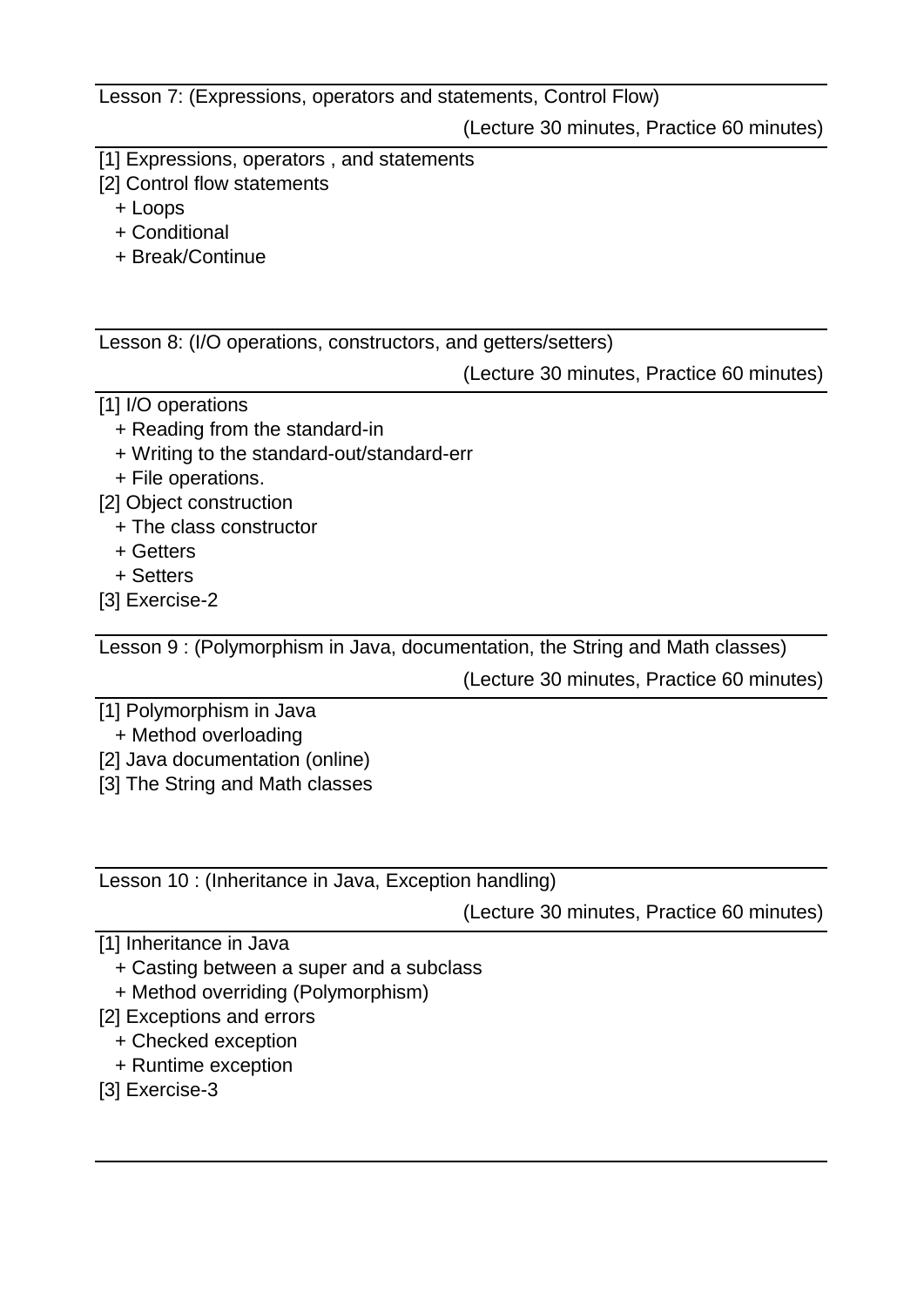Lesson 7: (Expressions, operators and statements, Control Flow)

(Lecture 30 minutes, Practice 60 minutes)

- [1] Expressions, operators, and statements
- [2] Control flow statements
	- + Loops
	- + Conditional
	- + Break/Continue

Lesson 8: (I/O operations, constructors, and getters/setters)

(Lecture 30 minutes, Practice 60 minutes)

- [1] I/O operations
	- + Reading from the standard-in
	- + Writing to the standard-out/standard-err
	- + File operations.
- [2] Object construction
	- + The class constructor
	- + Getters
	- + Setters
- [3] Exercise-2

Lesson 9 : (Polymorphism in Java, documentation, the String and Math classes)

(Lecture 30 minutes, Practice 60 minutes)

- [1] Polymorphism in Java
- + Method overloading
- [2] Java documentation (online)
- [3] The String and Math classes

Lesson 10 : (Inheritance in Java, Exception handling)

(Lecture 30 minutes, Practice 60 minutes)

- [1] Inheritance in Java
	- + Casting between a super and a subclass
	- + Method overriding (Polymorphism)
- [2] Exceptions and errors
	- + Checked exception
	- + Runtime exception
- [3] Exercise-3